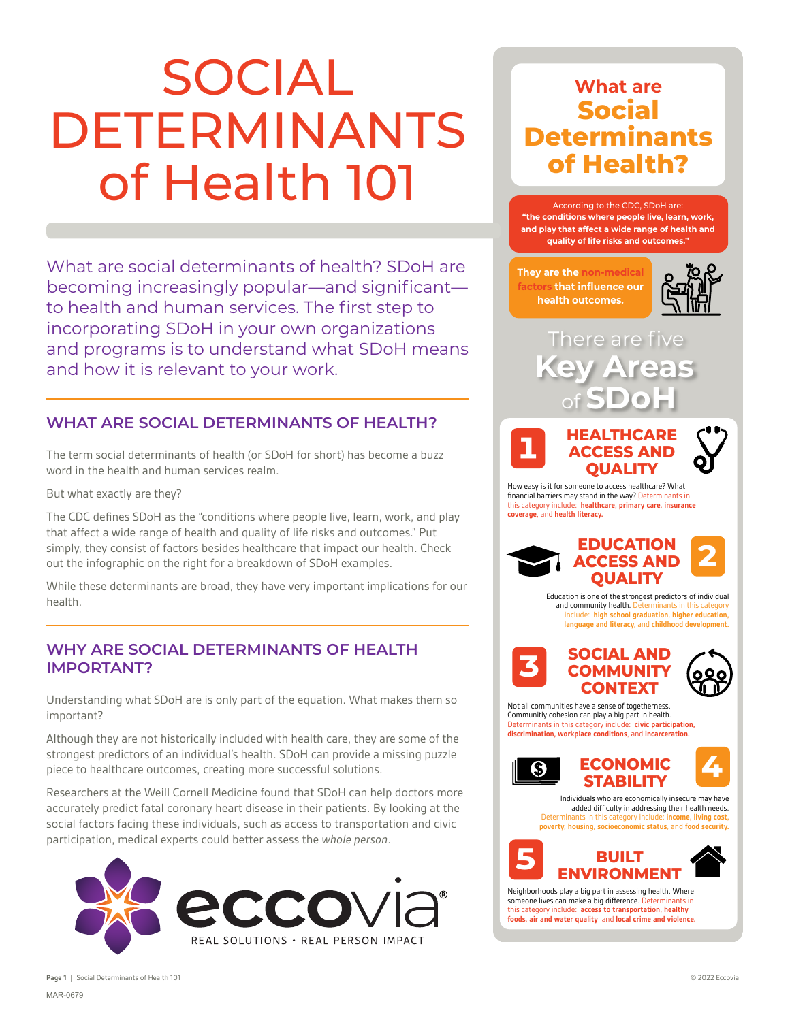# SOCIAL DETERMINANTS of Health 101

What are social determinants of health? SDoH are becoming increasingly popular—and significant to health and human services. The first step to incorporating SDoH in your own organizations and programs is to understand what SDoH means and how it is relevant to your work.

#### **WHAT ARE SOCIAL DETERMINANTS OF HEALTH?**

The term social determinants of health (or SDoH for short) has become a buzz word in the health and human services realm.

But what exactly are they?

The CDC defines SDoH as the "conditions where people live, learn, work, and play that affect a wide range of health and quality of life risks and outcomes." Put simply, they consist of factors besides healthcare that impact our health. Check out the infographic on the right for a breakdown of SDoH examples.

While these determinants are broad, they have very important implications for our health.

#### **WHY ARE SOCIAL DETERMINANTS OF HEALTH IMPORTANT?**

Understanding what SDoH are is only part of the equation. What makes them so important?

Although they are not historically included with health care, they are some of the strongest predictors of an individual's health. SDoH can provide a missing puzzle piece to healthcare outcomes, creating more successful solutions.

Researchers at the Weill Cornell Medicine found that SDoH can help doctors more accurately predict fatal coronary heart disease in their patients. By looking at the social factors facing these individuals, such as access to transportation and civic participation, medical experts could better assess the *whole person*.



## **What are Social Determinants of Health?**

According to the CDC, SDoH are: **"the conditions where people live, learn, work, and play that affect a wide range of health and quality of life risks and outcomes."**

**They are the non-medical factors that influence our health outcomes.**



There are five **Key Areas** of **SDoH**



How easy is it for someone to access healthcare? What financial barriers may stand in the way? Determinants in this category include: **healthcare, primary care, insurance coverage**, and **health literacy.**



Education is one of the strongest predictors of individual and community health. C include: **high school graduation, higher education, language and literacy,** and **childhood development.**



Not all communities have a sense of togetherness. Communitiy cohesion can play a big part in health. Determinants in this category include: **civic participation discrimination, workplace conditions**, and **incarceration.**



**4**

Individuals who are economically insecure may have added difficulty in addressing their health needs. Determinants in this category include: **income, living cost, poverty, housing, socioeconomic status**, and for